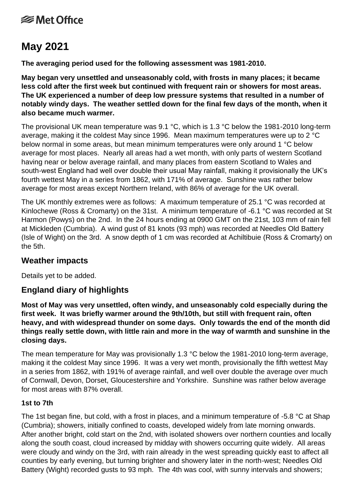# **<del></del>** Met Office

# **May 2021**

**The averaging period used for the following assessment was 1981-2010.**

**May began very unsettled and unseasonably cold, with frosts in many places; it became less cold after the first week but continued with frequent rain or showers for most areas. The UK experienced a number of deep low pressure systems that resulted in a number of notably windy days. The weather settled down for the final few days of the month, when it also became much warmer.**

The provisional UK mean temperature was 9.1 °C, which is 1.3 °C below the 1981-2010 long-term average, making it the coldest May since 1996. Mean maximum temperatures were up to 2 °C below normal in some areas, but mean minimum temperatures were only around 1 °C below average for most places. Nearly all areas had a wet month, with only parts of western Scotland having near or below average rainfall, and many places from eastern Scotland to Wales and south-west England had well over double their usual May rainfall, making it provisionally the UK's fourth wettest May in a series from 1862, with 171% of average. Sunshine was rather below average for most areas except Northern Ireland, with 86% of average for the UK overall.

The UK monthly extremes were as follows: A maximum temperature of 25.1 °C was recorded at Kinlochewe (Ross & Cromarty) on the 31st. A minimum temperature of -6.1 °C was recorded at St Harmon (Powys) on the 2nd. In the 24 hours ending at 0900 GMT on the 21st, 103 mm of rain fell at Mickleden (Cumbria). A wind gust of 81 knots (93 mph) was recorded at Needles Old Battery (Isle of Wight) on the 3rd. A snow depth of 1 cm was recorded at Achiltibuie (Ross & Cromarty) on the 5th.

# **Weather impacts**

Details yet to be added.

# **England diary of highlights**

**Most of May was very unsettled, often windy, and unseasonably cold especially during the first week. It was briefly warmer around the 9th/10th, but still with frequent rain, often heavy, and with widespread thunder on some days. Only towards the end of the month did things really settle down, with little rain and more in the way of warmth and sunshine in the closing days.**

The mean temperature for May was provisionally 1.3 °C below the 1981-2010 long-term average, making it the coldest May since 1996. It was a very wet month, provisionally the fifth wettest May in a series from 1862, with 191% of average rainfall, and well over double the average over much of Cornwall, Devon, Dorset, Gloucestershire and Yorkshire. Sunshine was rather below average for most areas with 87% overall.

#### **1st to 7th**

The 1st began fine, but cold, with a frost in places, and a minimum temperature of -5.8 °C at Shap (Cumbria); showers, initially confined to coasts, developed widely from late morning onwards. After another bright, cold start on the 2nd, with isolated showers over northern counties and locally along the south coast, cloud increased by midday with showers occurring quite widely. All areas were cloudy and windy on the 3rd, with rain already in the west spreading quickly east to affect all counties by early evening, but turning brighter and showery later in the north-west; Needles Old Battery (Wight) recorded gusts to 93 mph. The 4th was cool, with sunny intervals and showers;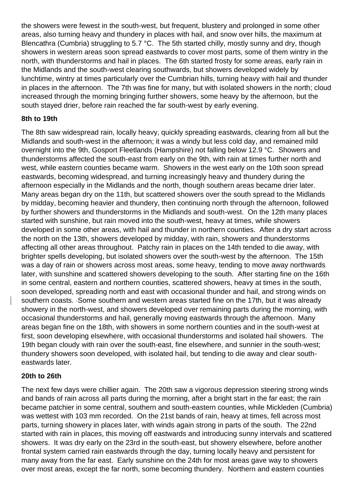the showers were fewest in the south-west, but frequent, blustery and prolonged in some other areas, also turning heavy and thundery in places with hail, and snow over hills, the maximum at Blencathra (Cumbria) struggling to 5.7 °C. The 5th started chilly, mostly sunny and dry, though showers in western areas soon spread eastwards to cover most parts, some of them wintry in the north, with thunderstorms and hail in places. The 6th started frosty for some areas, early rain in the Midlands and the south-west clearing southwards, but showers developed widely by lunchtime, wintry at times particularly over the Cumbrian hills, turning heavy with hail and thunder in places in the afternoon. The 7th was fine for many, but with isolated showers in the north; cloud increased through the morning bringing further showers, some heavy by the afternoon, but the south stayed drier, before rain reached the far south-west by early evening.

### **8th to 19th**

The 8th saw widespread rain, locally heavy, quickly spreading eastwards, clearing from all but the Midlands and south-west in the afternoon; it was a windy but less cold day, and remained mild overnight into the 9th, Gosport Fleetlands (Hampshire) not falling below 12.9 °C.Showers and thunderstorms affected the south-east from early on the 9th, with rain at times further north and west, while eastern counties became warm. Showers in the west early on the 10th soon spread eastwards, becoming widespread, and turning increasingly heavy and thundery during the afternoon especially in the Midlands and the north, though southern areas became drier later. Many areas began dry on the 11th, but scattered showers over the south spread to the Midlands by midday, becoming heavier and thundery, then continuing north through the afternoon, followed by further showers and thunderstorms in the Midlands and south-west. On the 12th many places started with sunshine, but rain moved into the south-west, heavy at times, while showers developed in some other areas, with hail and thunder in northern counties. After a dry start across the north on the 13th, showers developed by midday, with rain, showers and thunderstorms affecting all other areas throughout. Patchy rain in places on the 14th tended to die away, with brighter spells developing, but isolated showers over the south-west by the afternoon. The 15th was a day of rain or showers across most areas, some heavy, tending to move away northwards later, with sunshine and scattered showers developing to the south. After starting fine on the 16th in some central, eastern and northern counties, scattered showers, heavy at times in the south, soon developed, spreading north and east with occasional thunder and hail, and strong winds on southern coasts. -Some southern and western areas started fine on the 17th, but it was already showery in the north-west, and showers developed over remaining parts during the morning, with occasional thunderstorms and hail, generally moving eastwards through the afternoon. Many areas began fine on the 18th, with showers in some northern counties and in the south-west at first, soon developing elsewhere, with occasional thunderstorms and isolated hail showers. The 19th began cloudy with rain over the south-east, fine elsewhere, and sunnier in the south-west; thundery showers soon developed, with isolated hail, but tending to die away and clear southeastwards later.

### **20th to 26th**

The next few days were chillier again. The 20th saw a vigorous depression steering strong winds and bands of rain across all parts during the morning, after a bright start in the far east; the rain became patchier in some central, southern and south-eastern counties, while Mickleden (Cumbria) was wettest with 103 mm recorded. On the 21st bands of rain, heavy at times, fell across most parts, turning showery in places later, with winds again strong in parts of the south. The 22nd started with rain in places, this moving off eastwards and introducing sunny intervals and scattered showers. It was dry early on the 23rd in the south-east, but showery elsewhere, before another frontal system carried rain eastwards through the day, turning locally heavy and persistent for many away from the far east. Early sunshine on the 24th for most areas gave way to showers over most areas, except the far north, some becoming thundery. Northern and eastern counties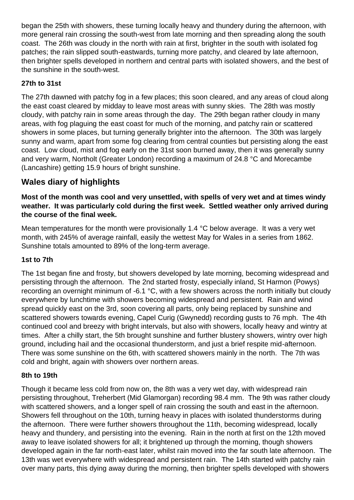began the 25th with showers, these turning locally heavy and thundery during the afternoon, with more general rain crossing the south-west from late morning and then spreading along the south coast. The 26th was cloudy in the north with rain at first, brighter in the south with isolated fog patches; the rain slipped south-eastwards, turning more patchy, and cleared by late afternoon, then brighter spells developed in northern and central parts with isolated showers, and the best of the sunshine in the south-west.

## **27th to 31st**

The 27th dawned with patchy fog in a few places; this soon cleared, and any areas of cloud along the east coast cleared by midday to leave most areas with sunny skies. The 28th was mostly cloudy, with patchy rain in some areas through the day. The 29th began rather cloudy in many areas, with fog plaguing the east coast for much of the morning, and patchy rain or scattered showers in some places, but turning generally brighter into the afternoon. The 30th was largely sunny and warm, apart from some fog clearing from central counties but persisting along the east coast. Low cloud, mist and fog early on the 31st soon burned away, then it was generally sunny and very warm, Northolt (Greater London) recording a maximum of 24.8 °C and Morecambe (Lancashire) getting 15.9 hours of bright sunshine.

# **Wales diary of highlights**

**Most of the month was cool and very unsettled, with spells of very wet and at times windy weather. It was particularly cold during the first week. Settled weather only arrived during the course of the final week.**

Mean temperatures for the month were provisionally 1.4 °C below average. It was a very wet month, with 245% of average rainfall, easily the wettest May for Wales in a series from 1862. Sunshine totals amounted to 89% of the long-term average.

## **1st to 7th**

The 1st began fine and frosty, but showers developed by late morning, becoming widespread and persisting through the afternoon. The 2nd started frosty, especially inland, St Harmon (Powys) recording an overnight minimum of -6.1 °C, with a few showers across the north initially but cloudy everywhere by lunchtime with showers becoming widespread and persistent. Rain and wind spread quickly east on the 3rd, soon covering all parts, only being replaced by sunshine and scattered showers towards evening, Capel Curig (Gwynedd) recording gusts to 76 mph. The 4th continued cool and breezy with bright intervals, but also with showers, locally heavy and wintry at times. After a chilly start, the 5th brought sunshine and further blustery showers, wintry over high ground, including hail and the occasional thunderstorm, and just a brief respite mid-afternoon. There was some sunshine on the 6th, with scattered showers mainly in the north. The 7th was cold and bright, again with showers over northern areas.

### **8th to 19th**

Though it became less cold from now on, the 8th was a very wet day, with widespread rain persisting throughout, Treherbert (Mid Glamorgan) recording 98.4 mm. The 9th was rather cloudy with scattered showers, and a longer spell of rain crossing the south and east in the afternoon. Showers fell throughout on the 10th, turning heavy in places with isolated thunderstorms during the afternoon. There were further showers throughout the 11th, becoming widespread, locally heavy and thundery, and persisting into the evening. Rain in the north at first on the 12th moved away to leave isolated showers for all; it brightened up through the morning, though showers developed again in the far north-east later, whilst rain moved into the far south late afternoon. The 13th was wet everywhere with widespread and persistent rain. The 14th started with patchy rain over many parts, this dying away during the morning, then brighter spells developed with showers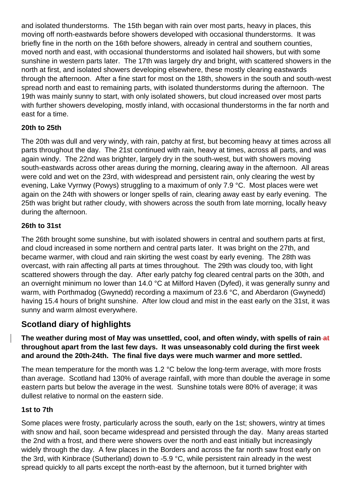and isolated thunderstorms. The 15th began with rain over most parts, heavy in places, this moving off north-eastwards before showers developed with occasional thunderstorms. It was briefly fine in the north on the 16th before showers, already in central and southern counties, moved north and east, with occasional thunderstorms and isolated hail showers, but with some sunshine in western parts later. The 17th was largely dry and bright, with scattered showers in the north at first, and isolated showers developing elsewhere, these mostly clearing eastwards through the afternoon. After a fine start for most on the 18th, showers in the south and south-west spread north and east to remaining parts, with isolated thunderstorms during the afternoon. The 19th was mainly sunny to start, with only isolated showers, but cloud increased over most parts with further showers developing, mostly inland, with occasional thunderstorms in the far north and east for a time.

## **20th to 25th**

The 20th was dull and very windy, with rain, patchy at first, but becoming heavy at times across all parts throughout the day. The 21st continued with rain, heavy at times, across all parts, and was again windy. The 22nd was brighter, largely dry in the south-west, but with showers moving south-eastwards across other areas during the morning, clearing away in the afternoon. All areas were cold and wet on the 23rd, with widespread and persistent rain, only clearing the west by evening, Lake Vyrnwy (Powys) struggling to a maximum of only 7.9 °C. Most places were wet again on the 24th with showers or longer spells of rain, clearing away east by early evening. The 25th was bright but rather cloudy, with showers across the south from late morning, locally heavy during the afternoon.

### **26th to 31st**

The 26th brought some sunshine, but with isolated showers in central and southern parts at first, and cloud increased in some northern and central parts later. It was bright on the 27th, and became warmer, with cloud and rain skirting the west coast by early evening. The 28th was overcast, with rain affecting all parts at times throughout. The 29th was cloudy too, with light scattered showers through the day. After early patchy fog cleared central parts on the 30th, and an overnight minimum no lower than 14.0 °C at Milford Haven (Dyfed), it was generally sunny and warm, with Porthmadog (Gwynedd) recording a maximum of 23.6 °C, and Aberdaron (Gwynedd) having 15.4 hours of bright sunshine. After low cloud and mist in the east early on the 31st, it was sunny and warm almost everywhere.

# **Scotland diary of highlights**

### **The weather during most of May was unsettled, cool, and often windy, with spells of rain at throughout apart from the last few days. It was unseasonably cold during the first week and around the 20th-24th. The final five days were much warmer and more settled.**

The mean temperature for the month was 1.2 °C below the long-term average, with more frosts than average. Scotland had 130% of average rainfall, with more than double the average in some eastern parts but below the average in the west. Sunshine totals were 80% of average; it was dullest relative to normal on the eastern side.

### **1st to 7th**

Some places were frosty, particularly across the south, early on the 1st; showers, wintry at times with snow and hail, soon became widespread and persisted through the day. Many areas started the 2nd with a frost, and there were showers over the north and east initially but increasingly widely through the day. A few places in the Borders and across the far north saw frost early on the 3rd, with Kinbrace (Sutherland) down to -5.9 °C, while persistent rain already in the west spread quickly to all parts except the north-east by the afternoon, but it turned brighter with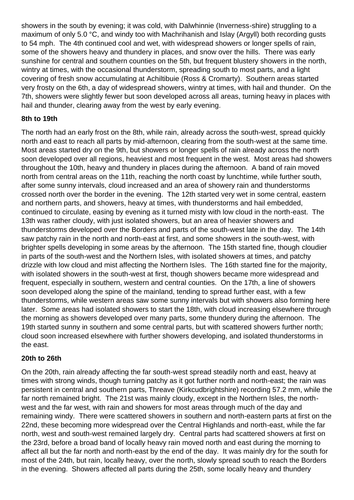showers in the south by evening; it was cold, with Dalwhinnie (Inverness-shire) struggling to a maximum of only 5.0 °C, and windy too with Machrihanish and Islay (Argyll) both recording gusts to 54 mph. The 4th continued cool and wet, with widespread showers or longer spells of rain, some of the showers heavy and thundery in places, and snow over the hills. There was early sunshine for central and southern counties on the 5th, but frequent blustery showers in the north, wintry at times, with the occasional thunderstorm, spreading south to most parts, and a light covering of fresh snow accumulating at Achiltibuie (Ross & Cromarty). Southern areas started very frosty on the 6th, a day of widespread showers, wintry at times, with hail and thunder. On the 7th, showers were slightly fewer but soon developed across all areas, turning heavy in places with hail and thunder, clearing away from the west by early evening.

## **8th to 19th**

The north had an early frost on the 8th, while rain, already across the south-west, spread quickly north and east to reach all parts by mid-afternoon, clearing from the south-west at the same time. Most areas started dry on the 9th, but showers or longer spells of rain already across the north soon developed over all regions, heaviest and most frequent in the west. Most areas had showers throughout the 10th, heavy and thundery in places during the afternoon. A band of rain moved north from central areas on the 11th, reaching the north coast by lunchtime, while further south, after some sunny intervals, cloud increased and an area of showery rain and thunderstorms crossed north over the border in the evening. The 12th started very wet in some central, eastern and northern parts, and showers, heavy at times, with thunderstorms and hail embedded, continued to circulate, easing by evening as it turned misty with low cloud in the north-east. The 13th was rather cloudy, with just isolated showers, but an area of heavier showers and thunderstorms developed over the Borders and parts of the south-west late in the day. The 14th saw patchy rain in the north and north-east at first, and some showers in the south-west, with brighter spells developing in some areas by the afternoon. The 15th started fine, though cloudier in parts of the south-west and the Northern Isles, with isolated showers at times, and patchy drizzle with low cloud and mist affecting the Northern Isles. The 16th started fine for the majority, with isolated showers in the south-west at first, though showers became more widespread and frequent, especially in southern, western and central counties. On the 17th, a line of showers soon developed along the spine of the mainland, tending to spread further east, with a few thunderstorms, while western areas saw some sunny intervals but with showers also forming here later. Some areas had isolated showers to start the 18th, with cloud increasing elsewhere through the morning as showers developed over many parts, some thundery during the afternoon. The 19th started sunny in southern and some central parts, but with scattered showers further north; cloud soon increased elsewhere with further showers developing, and isolated thunderstorms in the east.

## **20th to 26th**

On the 20th, rain already affecting the far south-west spread steadily north and east, heavy at times with strong winds, though turning patchy as it got further north and north-east; the rain was persistent in central and southern parts, Threave (Kirkcudbrightshire) recording 57.2 mm, while the far north remained bright. The 21st was mainly cloudy, except in the Northern Isles, the northwest and the far west, with rain and showers for most areas through much of the day and remaining windy. There were scattered showers in southern and north-eastern parts at first on the 22nd, these becoming more widespread over the Central Highlands and north-east, while the far north, west and south-west remained largely dry. Central parts had scattered showers at first on the 23rd, before a broad band of locally heavy rain moved north and east during the morning to affect all but the far north and north-east by the end of the day. It was mainly dry for the south for most of the 24th, but rain, locally heavy, over the north, slowly spread south to reach the Borders in the evening. Showers affected all parts during the 25th, some locally heavy and thundery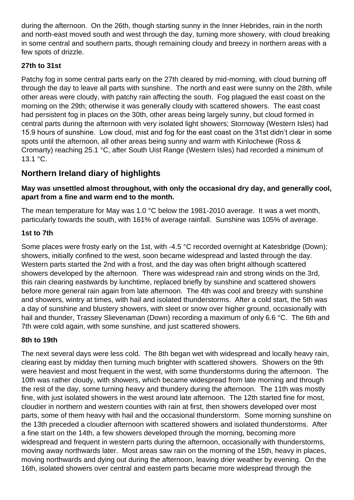during the afternoon. On the 26th, though starting sunny in the Inner Hebrides, rain in the north and north-east moved south and west through the day, turning more showery, with cloud breaking in some central and southern parts, though remaining cloudy and breezy in northern areas with a few spots of drizzle.

## **27th to 31st**

Patchy fog in some central parts early on the 27th cleared by mid-morning, with cloud burning off through the day to leave all parts with sunshine. The north and east were sunny on the 28th, while other areas were cloudy, with patchy rain affecting the south. Fog plagued the east coast on the morning on the 29th; otherwise it was generally cloudy with scattered showers. The east coast had persistent fog in places on the 30th, other areas being largely sunny, but cloud formed in central parts during the afternoon with very isolated light showers; Stornoway (Western Isles) had 15.9 hours of sunshine. Low cloud, mist and fog for the east coast on the 31st didn't clear in some spots until the afternoon, all other areas being sunny and warm with Kinlochewe (Ross & Cromarty) reaching 25.1 °C, after South Uist Range (Western Isles) had recorded a minimum of 13.1 °C.

# **Northern Ireland diary of highlights**

## **May was unsettled almost throughout, with only the occasional dry day, and generally cool, apart from a fine and warm end to the month.**

The mean temperature for May was 1.0 °C below the 1981-2010 average. It was a wet month, particularly towards the south, with 161% of average rainfall. Sunshine was 105% of average.

## **1st to 7th**

Some places were frosty early on the 1st, with -4.5 °C recorded overnight at Katesbridge (Down); showers, initially confined to the west, soon became widespread and lasted through the day. Western parts started the 2nd with a frost, and the day was often bright although scattered showers developed by the afternoon. There was widespread rain and strong winds on the 3rd, this rain clearing eastwards by lunchtime, replaced briefly by sunshine and scattered showers before more general rain again from late afternoon. The 4th was cool and breezy with sunshine and showers, wintry at times, with hail and isolated thunderstorms. After a cold start, the 5th was a day of sunshine and blustery showers, with sleet or snow over higher ground, occasionally with hail and thunder, Trassey Slievenaman (Down) recording a maximum of only 6.6 °C. The 6th and 7th were cold again, with some sunshine, and just scattered showers.

### **8th to 19th**

The next several days were less cold. The 8th began wet with widespread and locally heavy rain, clearing east by midday then turning much brighter with scattered showers. Showers on the 9th were heaviest and most frequent in the west, with some thunderstorms during the afternoon. The 10th was rather cloudy, with showers, which became widespread from late morning and through the rest of the day, some turning heavy and thundery during the afternoon. The 11th was mostly fine, with just isolated showers in the west around late afternoon. The 12th started fine for most, cloudier in northern and western counties with rain at first, then showers developed over most parts, some of them heavy with hail and the occasional thunderstorm. Some morning sunshine on the 13th preceded a cloudier afternoon with scattered showers and isolated thunderstorms. After a fine start on the 14th, a few showers developed through the morning, becoming more widespread and frequent in western parts during the afternoon, occasionally with thunderstorms, moving away northwards later. Most areas saw rain on the morning of the 15th, heavy in places, moving northwards and dying out during the afternoon, leaving drier weather by evening. On the 16th, isolated showers over central and eastern parts became more widespread through the